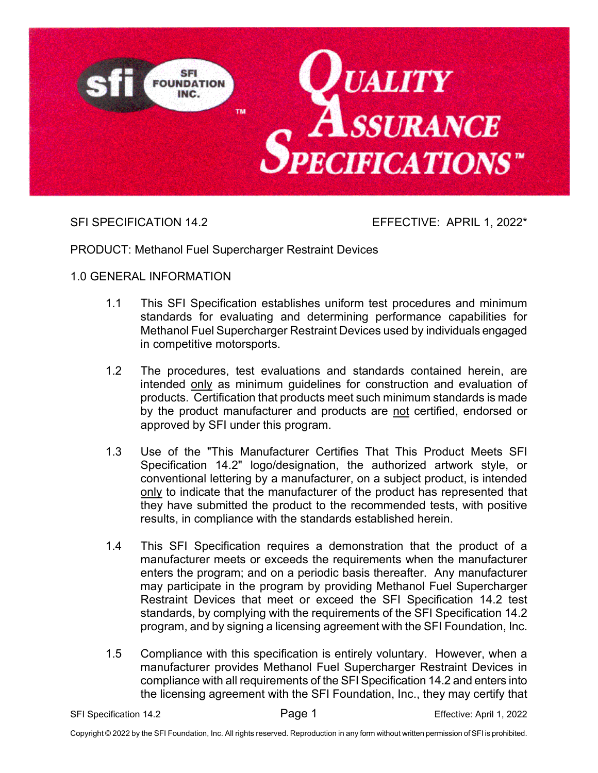

SFI SPECIFICATION 14.2 EFFECTIVE: APRIL 1, 2022\*

PRODUCT: Methanol Fuel Supercharger Restraint Devices

# 1.0 GENERAL INFORMATION

- 1.1 This SFI Specification establishes uniform test procedures and minimum standards for evaluating and determining performance capabilities for Methanol Fuel Supercharger Restraint Devices used by individuals engaged in competitive motorsports.
- 1.2 The procedures, test evaluations and standards contained herein, are intended only as minimum guidelines for construction and evaluation of products. Certification that products meet such minimum standards is made by the product manufacturer and products are not certified, endorsed or approved by SFI under this program.
- 1.3 Use of the "This Manufacturer Certifies That This Product Meets SFI Specification 14.2" logo/designation, the authorized artwork style, or conventional lettering by a manufacturer, on a subject product, is intended only to indicate that the manufacturer of the product has represented that they have submitted the product to the recommended tests, with positive results, in compliance with the standards established herein.
- 1.4 This SFI Specification requires a demonstration that the product of a manufacturer meets or exceeds the requirements when the manufacturer enters the program; and on a periodic basis thereafter. Any manufacturer may participate in the program by providing Methanol Fuel Supercharger Restraint Devices that meet or exceed the SFI Specification 14.2 test standards, by complying with the requirements of the SFI Specification 14.2 program, and by signing a licensing agreement with the SFI Foundation, Inc.
- 1.5 Compliance with this specification is entirely voluntary. However, when a manufacturer provides Methanol Fuel Supercharger Restraint Devices in compliance with all requirements of the SFI Specification 14.2 and enters into the licensing agreement with the SFI Foundation, Inc., they may certify that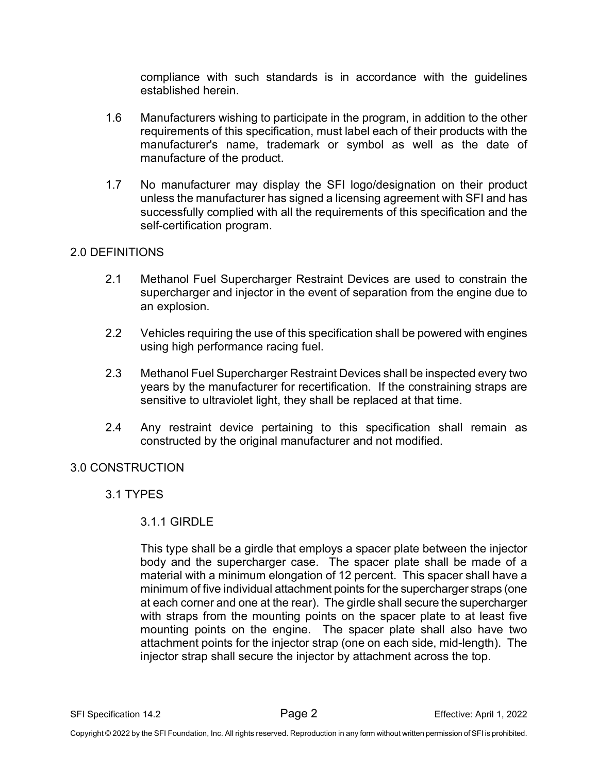compliance with such standards is in accordance with the guidelines established herein.

- 1.6 Manufacturers wishing to participate in the program, in addition to the other requirements of this specification, must label each of their products with the manufacturer's name, trademark or symbol as well as the date of manufacture of the product.
- 1.7 No manufacturer may display the SFI logo/designation on their product unless the manufacturer has signed a licensing agreement with SFI and has successfully complied with all the requirements of this specification and the self-certification program.

#### 2.0 DEFINITIONS

- 2.1 Methanol Fuel Supercharger Restraint Devices are used to constrain the supercharger and injector in the event of separation from the engine due to an explosion.
- 2.2 Vehicles requiring the use of this specification shall be powered with engines using high performance racing fuel.
- 2.3 Methanol Fuel Supercharger Restraint Devices shall be inspected every two years by the manufacturer for recertification. If the constraining straps are sensitive to ultraviolet light, they shall be replaced at that time.
- 2.4 Any restraint device pertaining to this specification shall remain as constructed by the original manufacturer and not modified.

#### 3.0 CONSTRUCTION

### 3.1 TYPES

### 3.1.1 GIRDLE

This type shall be a girdle that employs a spacer plate between the injector body and the supercharger case. The spacer plate shall be made of a material with a minimum elongation of 12 percent. This spacer shall have a minimum of five individual attachment points for the supercharger straps (one at each corner and one at the rear). The girdle shall secure the supercharger with straps from the mounting points on the spacer plate to at least five mounting points on the engine. The spacer plate shall also have two attachment points for the injector strap (one on each side, mid-length). The injector strap shall secure the injector by attachment across the top.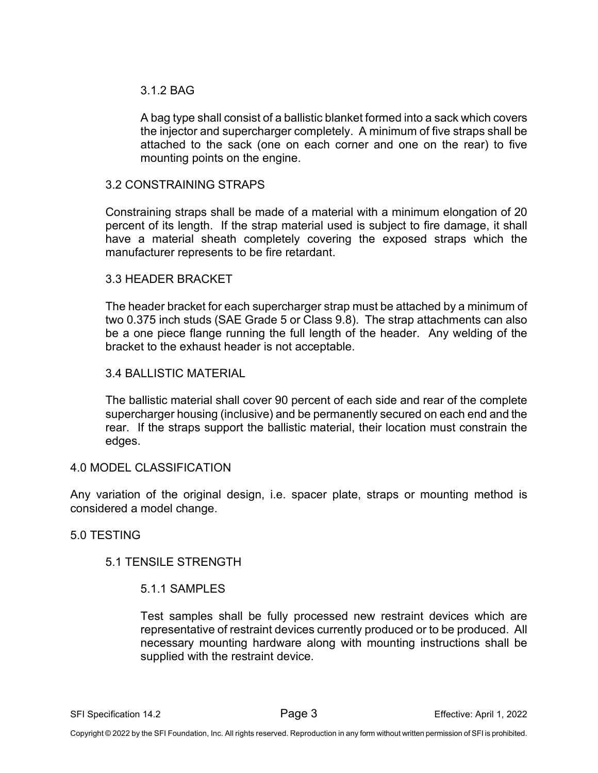## 3.1.2 BAG

A bag type shall consist of a ballistic blanket formed into a sack which covers the injector and supercharger completely. A minimum of five straps shall be attached to the sack (one on each corner and one on the rear) to five mounting points on the engine.

#### 3.2 CONSTRAINING STRAPS

Constraining straps shall be made of a material with a minimum elongation of 20 percent of its length. If the strap material used is subject to fire damage, it shall have a material sheath completely covering the exposed straps which the manufacturer represents to be fire retardant.

#### 3.3 HEADER BRACKET

The header bracket for each supercharger strap must be attached by a minimum of two 0.375 inch studs (SAE Grade 5 or Class 9.8). The strap attachments can also be a one piece flange running the full length of the header. Any welding of the bracket to the exhaust header is not acceptable.

#### 3.4 BALLISTIC MATERIAL

The ballistic material shall cover 90 percent of each side and rear of the complete supercharger housing (inclusive) and be permanently secured on each end and the rear. If the straps support the ballistic material, their location must constrain the edges.

#### 4.0 MODEL CLASSIFICATION

Any variation of the original design, i.e. spacer plate, straps or mounting method is considered a model change.

### 5.0 TESTING

### 5.1 TENSILE STRENGTH

### 5.1.1 SAMPLES

Test samples shall be fully processed new restraint devices which are representative of restraint devices currently produced or to be produced. All necessary mounting hardware along with mounting instructions shall be supplied with the restraint device.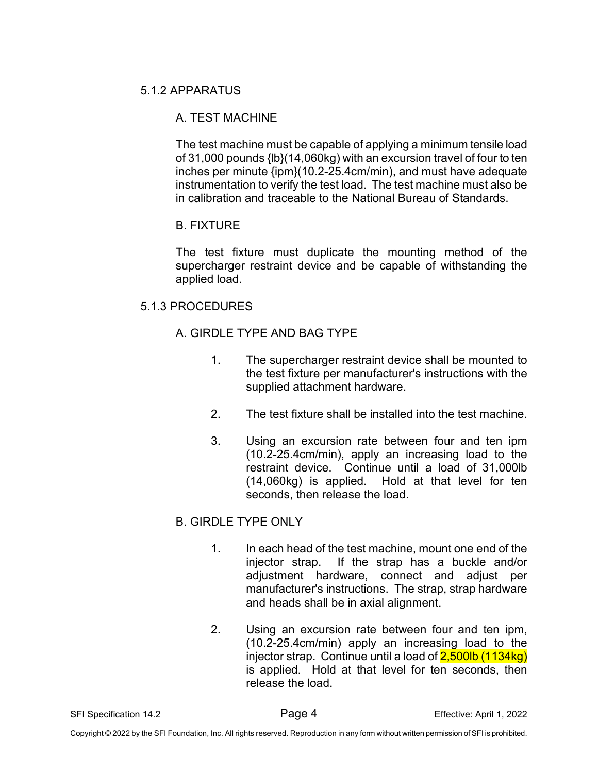# 5.1.2 APPARATUS

# A. TEST MACHINE

The test machine must be capable of applying a minimum tensile load of 31,000 pounds {lb}(14,060kg) with an excursion travel of four to ten inches per minute {ipm}(10.2-25.4cm/min), and must have adequate instrumentation to verify the test load. The test machine must also be in calibration and traceable to the National Bureau of Standards.

# B. FIXTURE

The test fixture must duplicate the mounting method of the supercharger restraint device and be capable of withstanding the applied load.

# 5.1.3 PROCEDURES

# A. GIRDLE TYPE AND BAG TYPE

- 1. The supercharger restraint device shall be mounted to the test fixture per manufacturer's instructions with the supplied attachment hardware.
- 2. The test fixture shall be installed into the test machine.
- 3. Using an excursion rate between four and ten ipm (10.2-25.4cm/min), apply an increasing load to the restraint device. Continue until a load of 31,000lb (14,060kg) is applied. Hold at that level for ten seconds, then release the load.

# B. GIRDLE TYPE ONLY

- 1. In each head of the test machine, mount one end of the injector strap. If the strap has a buckle and/or adjustment hardware, connect and adjust per manufacturer's instructions. The strap, strap hardware and heads shall be in axial alignment.
- 2. Using an excursion rate between four and ten ipm, (10.2-25.4cm/min) apply an increasing load to the injector strap. Continue until a load of 2,500lb (1134kg) is applied. Hold at that level for ten seconds, then release the load.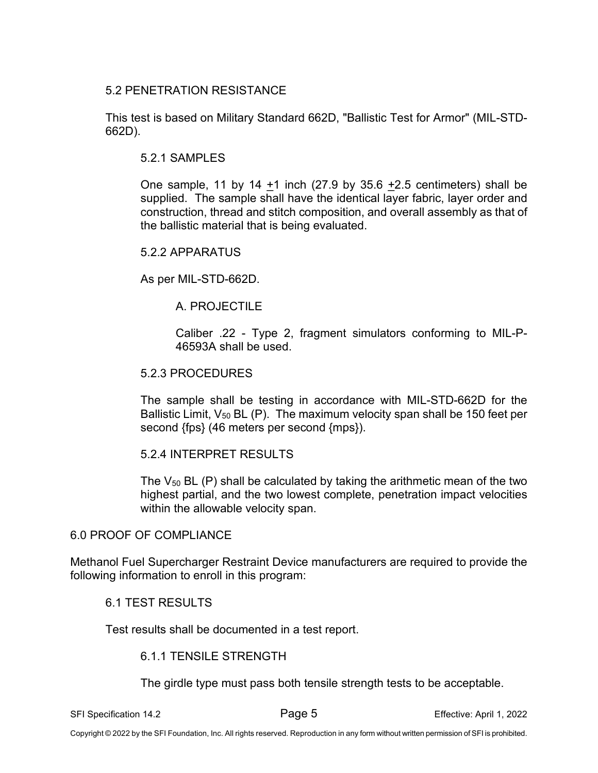## 5.2 PENETRATION RESISTANCE

This test is based on Military Standard 662D, "Ballistic Test for Armor" (MIL-STD-662D).

#### 5.2.1 SAMPLES

One sample, 11 by 14  $+1$  inch (27.9 by 35.6  $+2.5$  centimeters) shall be supplied. The sample shall have the identical layer fabric, layer order and construction, thread and stitch composition, and overall assembly as that of the ballistic material that is being evaluated.

#### 5.2.2 APPARATUS

As per MIL-STD-662D.

### A. PROJECTILE

Caliber .22 - Type 2, fragment simulators conforming to MIL-P-46593A shall be used.

#### 5.2.3 PROCEDURES

The sample shall be testing in accordance with MIL-STD-662D for the Ballistic Limit,  $V_{50}$  BL (P). The maximum velocity span shall be 150 feet per second {fps} (46 meters per second {mps}).

### 5.2.4 INTERPRET RESULTS

The  $V_{50}$  BL (P) shall be calculated by taking the arithmetic mean of the two highest partial, and the two lowest complete, penetration impact velocities within the allowable velocity span.

#### 6.0 PROOF OF COMPLIANCE

Methanol Fuel Supercharger Restraint Device manufacturers are required to provide the following information to enroll in this program:

#### 6.1 TEST RESULTS

Test results shall be documented in a test report.

#### 6.1.1 TENSILE STRENGTH

The girdle type must pass both tensile strength tests to be acceptable.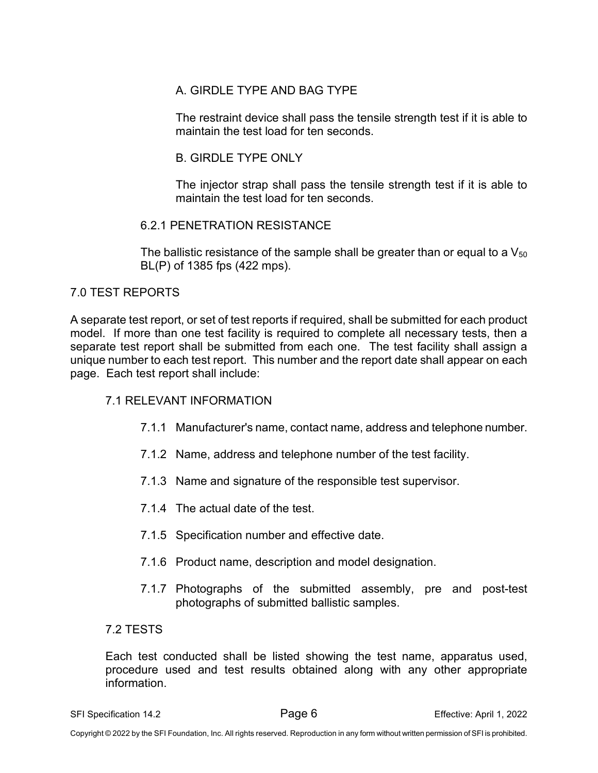# A. GIRDLE TYPE AND BAG TYPE

The restraint device shall pass the tensile strength test if it is able to maintain the test load for ten seconds.

# B. GIRDLE TYPE ONLY

The injector strap shall pass the tensile strength test if it is able to maintain the test load for ten seconds.

# 6.2.1 PENETRATION RESISTANCE

The ballistic resistance of the sample shall be greater than or equal to a  $V_{50}$ BL(P) of 1385 fps (422 mps).

# 7.0 TEST REPORTS

A separate test report, or set of test reports if required, shall be submitted for each product model. If more than one test facility is required to complete all necessary tests, then a separate test report shall be submitted from each one. The test facility shall assign a unique number to each test report. This number and the report date shall appear on each page. Each test report shall include:

# 7.1 RELEVANT INFORMATION

- 7.1.1 Manufacturer's name, contact name, address and telephone number.
- 7.1.2 Name, address and telephone number of the test facility.
- 7.1.3 Name and signature of the responsible test supervisor.
- 7.1.4 The actual date of the test.
- 7.1.5 Specification number and effective date.
- 7.1.6 Product name, description and model designation.
- 7.1.7 Photographs of the submitted assembly, pre and post-test photographs of submitted ballistic samples.

### 7.2 TESTS

Each test conducted shall be listed showing the test name, apparatus used, procedure used and test results obtained along with any other appropriate information.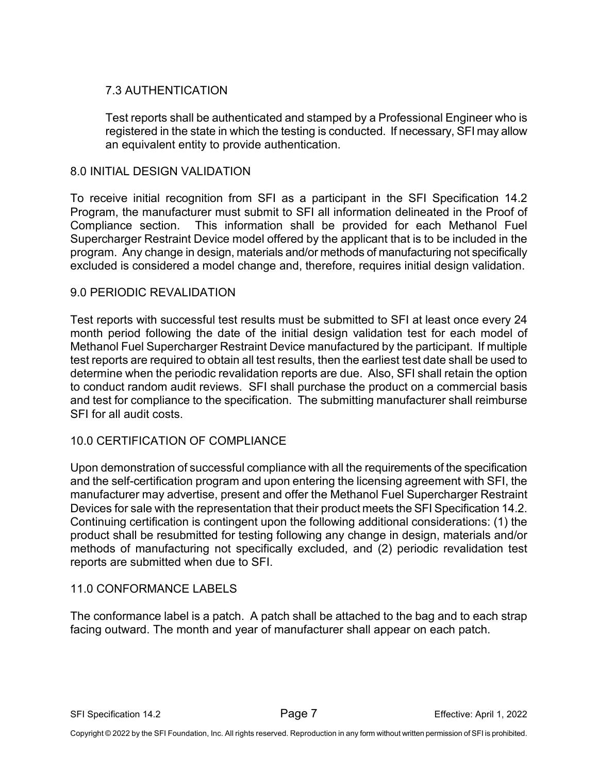# 7.3 AUTHENTICATION

Test reports shall be authenticated and stamped by a Professional Engineer who is registered in the state in which the testing is conducted. If necessary, SFI may allow an equivalent entity to provide authentication.

# 8.0 INITIAL DESIGN VALIDATION

To receive initial recognition from SFI as a participant in the SFI Specification 14.2 Program, the manufacturer must submit to SFI all information delineated in the Proof of Compliance section. This information shall be provided for each Methanol Fuel Supercharger Restraint Device model offered by the applicant that is to be included in the program. Any change in design, materials and/or methods of manufacturing not specifically excluded is considered a model change and, therefore, requires initial design validation.

# 9.0 PERIODIC REVALIDATION

Test reports with successful test results must be submitted to SFI at least once every 24 month period following the date of the initial design validation test for each model of Methanol Fuel Supercharger Restraint Device manufactured by the participant. If multiple test reports are required to obtain all test results, then the earliest test date shall be used to determine when the periodic revalidation reports are due. Also, SFI shall retain the option to conduct random audit reviews. SFI shall purchase the product on a commercial basis and test for compliance to the specification. The submitting manufacturer shall reimburse SFI for all audit costs.

# 10.0 CERTIFICATION OF COMPLIANCE

Upon demonstration of successful compliance with all the requirements of the specification and the self-certification program and upon entering the licensing agreement with SFI, the manufacturer may advertise, present and offer the Methanol Fuel Supercharger Restraint Devices for sale with the representation that their product meets the SFI Specification 14.2. Continuing certification is contingent upon the following additional considerations: (1) the product shall be resubmitted for testing following any change in design, materials and/or methods of manufacturing not specifically excluded, and (2) periodic revalidation test reports are submitted when due to SFI.

### 11.0 CONFORMANCE LABELS

The conformance label is a patch. A patch shall be attached to the bag and to each strap facing outward. The month and year of manufacturer shall appear on each patch.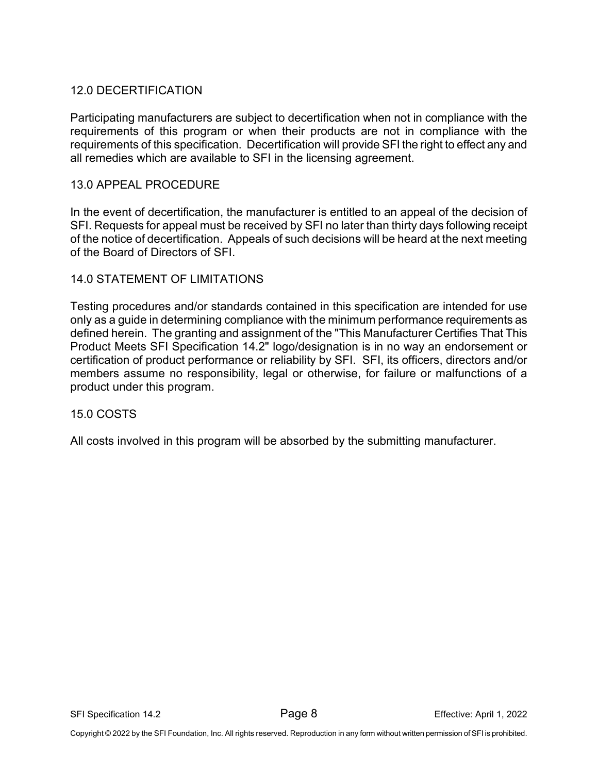# 12.0 DECERTIFICATION

Participating manufacturers are subject to decertification when not in compliance with the requirements of this program or when their products are not in compliance with the requirements of this specification. Decertification will provide SFI the right to effect any and all remedies which are available to SFI in the licensing agreement.

#### 13.0 APPEAL PROCEDURE

In the event of decertification, the manufacturer is entitled to an appeal of the decision of SFI. Requests for appeal must be received by SFI no later than thirty days following receipt of the notice of decertification. Appeals of such decisions will be heard at the next meeting of the Board of Directors of SFI.

### 14.0 STATEMENT OF LIMITATIONS

Testing procedures and/or standards contained in this specification are intended for use only as a guide in determining compliance with the minimum performance requirements as defined herein. The granting and assignment of the "This Manufacturer Certifies That This Product Meets SFI Specification 14.2" logo/designation is in no way an endorsement or certification of product performance or reliability by SFI. SFI, its officers, directors and/or members assume no responsibility, legal or otherwise, for failure or malfunctions of a product under this program.

#### 15.0 COSTS

All costs involved in this program will be absorbed by the submitting manufacturer.